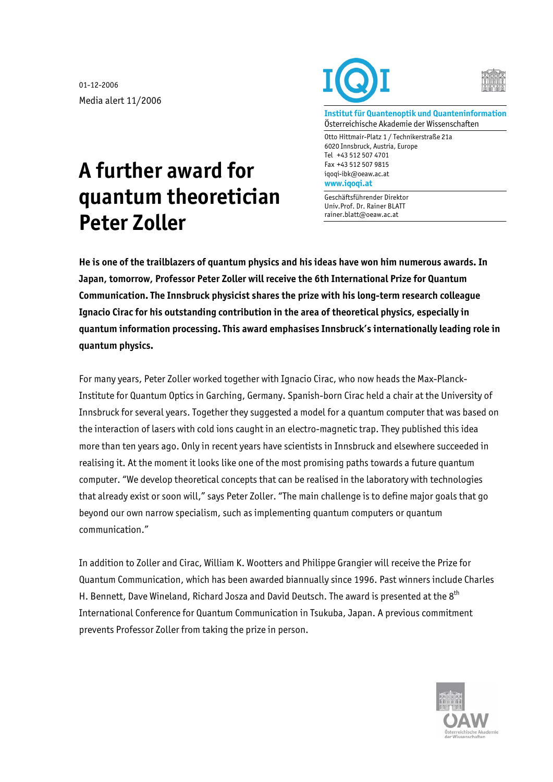01-12-2006 Media alert 11/2006





**Institut für Quantenoptik und Quanteninformation**  Österreichische Akademie der Wissenschaften

Otto Hittmair-Platz 1 / Technikerstraße 21a 6020 Innsbruck, Austria, Europe Tel +43 512 507 4701 Fax +43 512 507 9815 iqoqi-ibk@oeaw.ac.at **www.iqoqi.at** 

Geschäftsführender Direktor Univ.Prof. Dr. Rainer BLATT rainer.blatt@oeaw.ac.at

## **A further award for quantum theoretician Peter Zoller**

**He is one of the trailblazers of quantum physics and his ideas have won him numerous awards. In Japan, tomorrow, Professor Peter Zoller will receive the 6th International Prize for Quantum Communication. The Innsbruck physicist shares the prize with his long-term research colleague Ignacio Cirac for his outstanding contribution in the area of theoretical physics, especially in quantum information processing. This award emphasises Innsbruck's internationally leading role in quantum physics.** 

For many years, Peter Zoller worked together with Ignacio Cirac, who now heads the Max-Planck-Institute for Quantum Optics in Garching, Germany. Spanish-born Cirac held a chair at the University of Innsbruck for several years. Together they suggested a model for a quantum computer that was based on the interaction of lasers with cold ions caught in an electro-magnetic trap. They published this idea more than ten years ago. Only in recent years have scientists in Innsbruck and elsewhere succeeded in realising it. At the moment it looks like one of the most promising paths towards a future quantum computer. "We develop theoretical concepts that can be realised in the laboratory with technologies that already exist or soon will," says Peter Zoller. "The main challenge is to define major goals that go beyond our own narrow specialism, such as implementing quantum computers or quantum communication."

In addition to Zoller and Cirac, William K. Wootters and Philippe Grangier will receive the Prize for Quantum Communication, which has been awarded biannually since 1996. Past winners include Charles H. Bennett, Dave Wineland, Richard Josza and David Deutsch. The award is presented at the 8<sup>th</sup> International Conference for Quantum Communication in Tsukuba, Japan. A previous commitment prevents Professor Zoller from taking the prize in person.